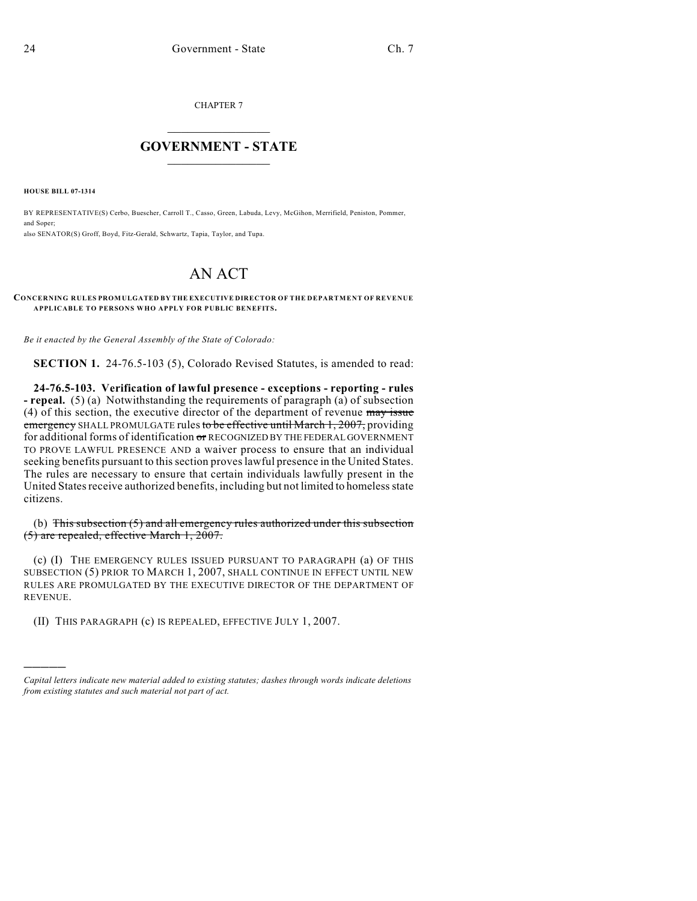CHAPTER 7

## $\mathcal{L}_\text{max}$  . The set of the set of the set of the set of the set of the set of the set of the set of the set of the set of the set of the set of the set of the set of the set of the set of the set of the set of the set **GOVERNMENT - STATE**  $\_$   $\_$

**HOUSE BILL 07-1314**

)))))

BY REPRESENTATIVE(S) Cerbo, Buescher, Carroll T., Casso, Green, Labuda, Levy, McGihon, Merrifield, Peniston, Pommer, and Soper; also SENATOR(S) Groff, Boyd, Fitz-Gerald, Schwartz, Tapia, Taylor, and Tupa.

## AN ACT

## **CONCERNING RULES PROMULGATED BY THE EXECUTIVE DIRECTOR OF THE DEPARTMENT OF REVENUE APPLICABLE TO PERSONS WHO APPLY FOR PUBLIC BENEFITS.**

*Be it enacted by the General Assembly of the State of Colorado:*

**SECTION 1.** 24-76.5-103 (5), Colorado Revised Statutes, is amended to read:

**24-76.5-103. Verification of lawful presence - exceptions - reporting - rules - repeal.** (5) (a) Notwithstanding the requirements of paragraph (a) of subsection (4) of this section, the executive director of the department of revenue may issue emergency SHALL PROMULGATE rules to be effective until March 1, 2007, providing for additional forms of identification or RECOGNIZED BY THE FEDERAL GOVERNMENT TO PROVE LAWFUL PRESENCE AND a waiver process to ensure that an individual seeking benefits pursuant to this section proves lawful presence in the United States. The rules are necessary to ensure that certain individuals lawfully present in the United States receive authorized benefits, including but not limited to homeless state citizens.

(b) This subsection (5) and all emergency rules authorized under this subsection (5) are repealed, effective March 1, 2007.

(c) (I) THE EMERGENCY RULES ISSUED PURSUANT TO PARAGRAPH (a) OF THIS SUBSECTION (5) PRIOR TO MARCH 1, 2007, SHALL CONTINUE IN EFFECT UNTIL NEW RULES ARE PROMULGATED BY THE EXECUTIVE DIRECTOR OF THE DEPARTMENT OF REVENUE.

(II) THIS PARAGRAPH (c) IS REPEALED, EFFECTIVE JULY 1, 2007.

*Capital letters indicate new material added to existing statutes; dashes through words indicate deletions from existing statutes and such material not part of act.*